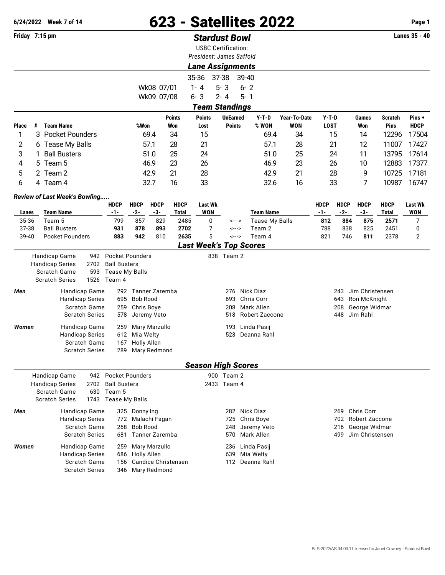## **6/24/2022 Week 7 of 14** 623 - Satellites 2022 **Page 1**

## **Friday 7:15 pm** *Stardust Bowl* **Lanes 35 - 40**

USBC Certification:

|       |                                                                                                                       |                                                                      |                                   |               | USDU UCHINGHUM.<br>President: James Saffold |                                     |                       |              |                        |                                          |                    |                |             |  |
|-------|-----------------------------------------------------------------------------------------------------------------------|----------------------------------------------------------------------|-----------------------------------|---------------|---------------------------------------------|-------------------------------------|-----------------------|--------------|------------------------|------------------------------------------|--------------------|----------------|-------------|--|
|       |                                                                                                                       |                                                                      |                                   |               | <b>Lane Assignments</b>                     |                                     |                       |              |                        |                                          |                    |                |             |  |
|       |                                                                                                                       |                                                                      |                                   |               |                                             |                                     |                       |              |                        |                                          |                    |                |             |  |
|       |                                                                                                                       |                                                                      |                                   |               | 35-36 37-38 39-40                           |                                     |                       |              |                        |                                          |                    |                |             |  |
|       |                                                                                                                       |                                                                      | Wk08 07/01                        |               | $1 - 4$                                     | $5 - 3$                             | $6 - 2$               |              |                        |                                          |                    |                |             |  |
|       |                                                                                                                       |                                                                      | Wk09 07/08                        |               | $6 - 3$                                     | $2 - 4$                             | $5 - 1$               |              |                        |                                          |                    |                |             |  |
|       |                                                                                                                       |                                                                      |                                   |               | <b>Team Standings</b>                       |                                     |                       |              |                        |                                          |                    |                |             |  |
|       |                                                                                                                       |                                                                      |                                   | <b>Points</b> | <b>Points</b>                               | <b>UnEarned</b>                     | Y-T-D                 | Year-To-Date | Y-T-D                  |                                          | Games              | <b>Scratch</b> | Pins+       |  |
| Place | # Team Name                                                                                                           |                                                                      | %Won                              | Won           | Lost                                        | <b>Points</b>                       | % WON                 | <b>WON</b>   | <b>LOST</b>            |                                          | Won                | <b>Pins</b>    | <b>HDCP</b> |  |
| 1     | 3<br><b>Pocket Pounders</b>                                                                                           |                                                                      | 69.4                              | 34            | 15                                          |                                     | 69.4                  | 34           |                        | 15                                       | 14                 | 12296          | 17504       |  |
| 2     | 6 Tease My Balls                                                                                                      |                                                                      | 57.1                              | 28            | 21                                          |                                     | 57.1                  | 28           | 21                     |                                          | 12                 | 11007          | 17427       |  |
| 3     | <b>Ball Busters</b>                                                                                                   |                                                                      | 51.0                              | 25            | 24                                          |                                     | 51.0                  | 25           |                        | 24                                       | 11                 | 13795          | 17614       |  |
| 4     | Team <sub>5</sub><br>5.                                                                                               |                                                                      | 46.9                              | 23            | 26                                          |                                     | 46.9                  | 23           |                        | 26                                       | 10                 | 12883          | 17377       |  |
| 5     | 2 Team 2                                                                                                              |                                                                      | 42.9                              | 21            | 28                                          |                                     | 42.9                  | 21           |                        | 28                                       | 9                  | 10725          | 17181       |  |
| 6     | 4 Team 4                                                                                                              |                                                                      | 32.7                              | 16            | 33                                          |                                     | 32.6                  | 16           |                        | 33                                       | 7                  | 10987          | 16747       |  |
|       | Review of Last Week's Bowling                                                                                         |                                                                      |                                   |               |                                             |                                     |                       |              |                        |                                          |                    |                |             |  |
|       |                                                                                                                       | <b>HDCP</b>                                                          | <b>HDCP</b><br><b>HDCP</b>        | <b>HDCP</b>   | <b>Last Wk</b>                              |                                     |                       |              | <b>HDCP</b>            | <b>HDCP</b>                              | <b>HDCP</b>        | <b>HDCP</b>    | Last Wk     |  |
| Lanes | <b>Team Name</b>                                                                                                      | -1-                                                                  | $-2-$<br>$-3-$                    | <b>Total</b>  | <b>WON</b>                                  |                                     | <b>Team Name</b>      |              | $-1-$                  | $-2-$                                    | $-3-$              | <b>Total</b>   | <b>WON</b>  |  |
| 35-36 | Team 5                                                                                                                | 799                                                                  | 857                               | 829<br>2485   | 0                                           | <--->                               | <b>Tease My Balls</b> |              | 812                    | 884                                      | 875                | 2571           | 7           |  |
| 37-38 | <b>Ball Busters</b>                                                                                                   | 931                                                                  | 878                               | 2702<br>893   | 7                                           | <--->                               | Team 2                |              | 788                    | 838                                      | 825                | 2451           | 0           |  |
| 39-40 | <b>Pocket Pounders</b>                                                                                                | 883                                                                  | 942                               | 2635<br>810   | 5                                           | <--->                               | Team 4                |              | 821                    | 746                                      | 811                | 2378           | 2           |  |
|       |                                                                                                                       |                                                                      |                                   |               | <b>Last Week's Top Scores</b>               |                                     |                       |              |                        |                                          |                    |                |             |  |
|       | 942<br><b>Handicap Game</b><br><b>Handicap Series</b><br>2702<br>Scratch Game<br>593<br>1526<br><b>Scratch Series</b> | <b>Ball Busters</b><br><b>Tease My Balls</b><br>Team 4               | <b>Pocket Pounders</b>            |               |                                             | 838 Team 2                          |                       |              |                        |                                          |                    |                |             |  |
| Men   | Handicap Game                                                                                                         | Tanner Zaremba<br>292                                                |                                   |               |                                             | 276                                 | Nick Diaz             |              | Jim Christensen<br>243 |                                          |                    |                |             |  |
|       | <b>Handicap Series</b>                                                                                                | 695                                                                  | Bob Rood                          |               |                                             | Chris Corr<br>693                   |                       |              | Ron McKnight<br>643    |                                          |                    |                |             |  |
|       | Scratch Game                                                                                                          | 259                                                                  | Chris Boye                        |               | 208                                         | Mark Allen                          | 208<br>George Widmar  |              |                        |                                          |                    |                |             |  |
|       | <b>Scratch Series</b>                                                                                                 | 578                                                                  | Jeremy Veto                       |               |                                             | 518                                 | Robert Zaccone        |              |                        | 448                                      | Jim Rahl           |                |             |  |
| Women | Handicap Game                                                                                                         | Mary Marzullo<br>259                                                 |                                   |               |                                             | 193                                 | Linda Pasij           |              |                        |                                          |                    |                |             |  |
|       | <b>Handicap Series</b>                                                                                                | 612                                                                  | Mia Welty                         |               |                                             | 523                                 | Deanna Rahl           |              |                        |                                          |                    |                |             |  |
|       | Scratch Game<br><b>Scratch Series</b>                                                                                 | 167                                                                  | <b>Holly Allen</b>                |               |                                             |                                     |                       |              |                        |                                          |                    |                |             |  |
|       |                                                                                                                       | 289                                                                  | Mary Redmond                      |               |                                             |                                     |                       |              |                        |                                          |                    |                |             |  |
|       |                                                                                                                       |                                                                      |                                   |               | <b>Season High Scores</b>                   |                                     |                       |              |                        |                                          |                    |                |             |  |
|       | Handicap Game                                                                                                         |                                                                      | 942 Pocket Pounders               |               |                                             | 900 leam 2                          |                       |              |                        |                                          |                    |                |             |  |
|       | <b>Handicap Series</b><br>2702<br>Scratch Game<br>630                                                                 | <b>Ball Busters</b><br>Team 5                                        |                                   |               |                                             | 2433 Team 4                         |                       |              |                        |                                          |                    |                |             |  |
|       | <b>Scratch Series</b>                                                                                                 | 1743 Tease My Balls                                                  |                                   |               |                                             |                                     |                       |              |                        |                                          |                    |                |             |  |
| Men   | Handicap Game                                                                                                         |                                                                      | 325 Donny Ing                     |               |                                             |                                     | 282 Nick Diaz         |              |                        |                                          | 269 Chris Corr     |                |             |  |
|       | <b>Handicap Series</b>                                                                                                |                                                                      | 772 Malachi Fagan                 |               | 725                                         | Chris Boye                          |                       |              |                        |                                          | 702 Robert Zaccone |                |             |  |
|       | Scratch Game<br><b>Scratch Series</b>                                                                                 | 268<br>681                                                           | <b>Bob Rood</b><br>Tanner Zaremba |               | 248<br>570                                  | Jeremy Veto<br>Mark Allen           |                       |              |                        | 216 George Widmar<br>499 Jim Christensen |                    |                |             |  |
|       |                                                                                                                       |                                                                      |                                   |               |                                             |                                     |                       |              |                        |                                          |                    |                |             |  |
| Women | Handicap Game                                                                                                         |                                                                      | 259 Mary Marzullo                 |               |                                             | 236                                 | Linda Pasij           |              |                        |                                          |                    |                |             |  |
|       |                                                                                                                       | <b>Handicap Series</b><br>686 Holly Allen<br>156 Candice Christensen |                                   |               |                                             | Mia Welty<br>639<br>112 Deanna Rahl |                       |              |                        |                                          |                    |                |             |  |
|       | Scratch Game<br><b>Scratch Series</b>                                                                                 |                                                                      | 346 Mary Redmond                  |               |                                             |                                     |                       |              |                        |                                          |                    |                |             |  |
|       |                                                                                                                       |                                                                      |                                   |               |                                             |                                     |                       |              |                        |                                          |                    |                |             |  |